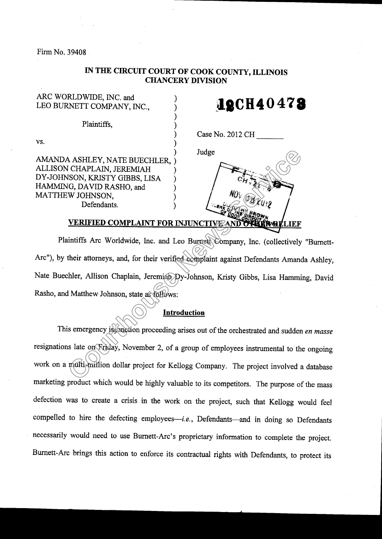Firm No. 39408

vs.

## IN THE CIRCUIT COURT OF COOK COUNTY, ILLINOIS CHANCERY DIVISION

) ) ) ) ) ) ) ) ) ) ) ) )

ARC WORLDWIDE, INC. and LEO BURNETT COMPANY, INC.,

Plaintiffs.

**12CH40478** 

Case No. 2012 CH

Judge

AMANDA ASHLEY, NATE BUECHLER. ALLIS ON CHAPLAIN, JEREMIAH DY-JOHNSON, KRISTY GIBBS, LISA HAMMING, DAVID RASHO, and MATTHEW JOHNSON, Defendants.

Plaintiffs Arc Worldwide, Inc. and Leo Burnett Company, Inc. (collectively "Burnett-Arc"), by their attorneys, and, for their verified complaint against Defendants Amanda Ashley, Nate Buechler, Allison Chaplain, Jeremiah Dy-Johnson, Kristy Gibbs, Lisa Hamming, David Rasho, and Matthew Johnson, state as follows: A ASHLEY, NATE BUECHLER,<br>
CHAPLAIN, JEREMIAH<br>
SION, KRISTY GIBBS, LISA<br>
(CA DAVID RASHO, and<br>
(W JOHNSON, and<br>
W JOHNDON, Defendants.<br>
(W JOHNSON, and Loo Burner Vompany, Inc. (collectively<br>
their attorneys, and, for their

## Introduction

This emergency injunction proceeding arises out of the orchestrated and sudden en masse resignations late on Friday, November 2, of a group of employees instrumental to the ongoing work on a multi-million dollar project for Kellogg Company. The project involved a database marketing product which would be highly valuable to its competitors. The purpose of the mass defection was to create a crisis in the work on the project, such that Kellogg would feel compelled to hire the defecting employees-i.e., Defendants-and in doing so Defendants necessarily would need to use Burnett-Arc's proprietary information to complete the project. Bumett-Arc brings this action to enforce its contractual rights with Defendants, to protect its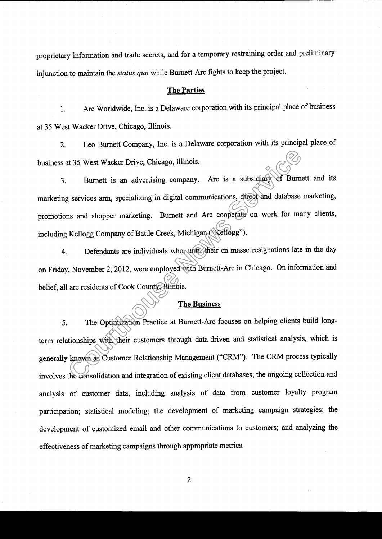proprietary information and trade secrets, and for a temporary restraining order and preliminary injunction to maintain the status quo while Burnett-Arc fights to keep the project.

## The Parties

1. Arc Worldwide, lnc. is a Delaware corporation with its principal place of business at 35 West Wacker Drive, Chicago, Illinois.

Z. Leo Burnett Company, Inc. is a Delaware corporation with its principal place of business at 35 West Wacker Drive, Chicago, Illinois.

3. Burnett is an advertising company. Arc is a subsidiary of Burnett and its marketing services arm, specializing in digital communications, direct and database marketing, promotions and shopper marketing. Burnett and Arc cooperate on work for many clients, including Kellogg Company of Battle Creek, Michigan ("Kellogg"). The Outside of the Consolidation and integration of the Consolidation of the Court<br>
Court of the Court of the Court of the Court of the Court of the Court of the Kellogg Company of Battle Creek, Michigan (Kellogg").<br>
Lefen

4. Defendants are individuals who, until their en masse resignations late in the day on Friday, November 2, 2012, were employed with Burnett-Arc in Chicago. On information and belief, all are residents of Cook County, Illinois.

## The Business

5. The Optimization Practice at Bumett-Arc focuses on helping clients build longterm relationships with their customers through data-driven and statistical analysis, which is generally known as Customer Relationship Management ("CRM"). The CRM process typically involves the consolidation and integration of existing client databases; the ongoing collection and analysis of customer data, including analysis of data from customer loyalty program participation; statistical modeling; the development of marketing campaign strategies; the development of customized email and other communications to customers; and analyzing the efFectiveness of marketing campaigns through appropriate metrics.

 $\overline{2}$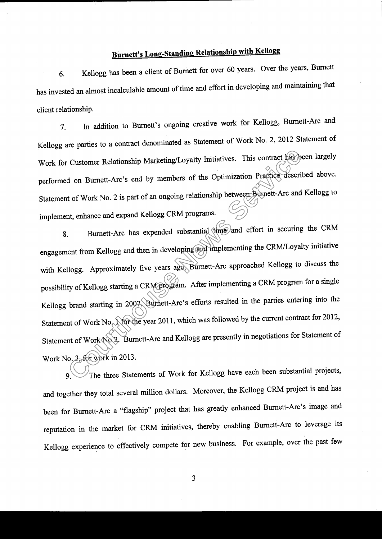## Burnett's Long-Standing Relationship with Kellogg

6. Kellogg has been a client of Burnett for over 60 years. Over the years, Burnett has invested an almost incalculable amount of time and effort in developing and maintaining that client relationship.

7. In addition to Burnett's ongoing creative work for Kellogg, Burnett-Arc and Kellogg are parties to a contract denominated as Statement of Work No. 2, 2012 Statement of Work for Customer Relationship Marketing/Loyalty Initiatives. This contract has been largely performed on Burnett-Arc's end by members of the Optimization Practice described above. statement of work No. 2 is part of an ongoing relationship between Burnett-Arc and Kellogg to implement, enhance and expand Kellogg CRM programs.

8. Burnett-Arc has expended substantial time and effort in securing the CRM engagement from Kellogg and then in developing and implementing the CRM/Loyalty initiative with Kellogg. Approximately five years ago, Burnett-Arc approached Kellogg to discuss the possibility of Kellogg starting a CRM program. After implementing a CRM program for a single Kellogg brand starting in 2007 Burnett-Arc's efforts resulted in the parties entering into the Statement of Work No. 1 for the year 2011, which was followed by the current contract for 2012, Statement of Work No 2. Burnett-Arc and Kellogg are presently in negotiations for Statement of Work No. 3, for work in 2013. Customer Relationship Marketing/Loyalty Initiatives. This contract has do m Burnett-Arc's end by members of the Optimization Practice description of Work No. 2 is part of an ongoing relationship between Burnett-Arc and the

9. The three Statements of Work for Kellogg have each been substantial projects, and together they total several million dollars. Moreover, the Kellogg CRM project is and has been for Burnett-Arc a "flagship" project that has greatly enhanced Burnett-Arc's image and reputation in the market for cRM initiatives, thereby enabling Burnett-Arc to leverage its Kellogg experience to effectively compete for new business. For example, over the past few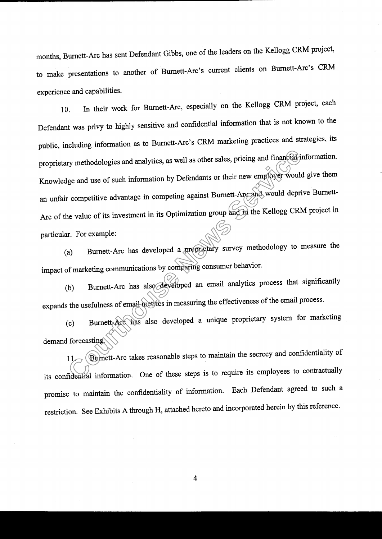months, Burnett-Arc has sent Defendant Gibbs, one of the leaders on the Kellogg cRM project, to make presentations to another of Burnett-Arc's current clients on Burnett-Arc's CRM experience and capabilities.

10. In their work for Burnett-Arc, especially on the Kellogg CRM project, each Defendant was privy to highly sensitive and confidential information that is not known to the public, including information as to Burnett-Arc's CRM marketing practices and strategies, its proprietary methodologies and analytics, as well as other sales, pricing and financial information. Knowledge and use of such information by Defendants or their new employer would give them an unfair competitive advantage in competing against Burnett-Arc and would deprive Burnett-Arc of the value of its investment in its Optimization group and in the Kellogg CRM project in particular. For example: For methodologies and analytics, as well as other sales, pricing and financial interpret of the methodologies and analytics, as well as other asies, pricing and financial interpret to competitive advantage in competing aga

(a) Burnett-Arc has developed a proprietary survey methodology to measure the impact of marketing communications by comparing consumer behavior.

(b) Burnett-Arc has also developed an email analytics process that significantly expands the usefulness of email metrics in measuring the effectiveness of the email process.

(c) Bumett-Arc has also developed a unique proprietary system for marketing demand forecasting.

11. Burnett-Arc takes reasonable steps to maintain the secrecy and confidentiality of its confidential information. One of these steps is to require its employees to contractually promise to maintain the confidentiality of information. Each Defendant agreed to such a restriction. See Exhibits A through H, attached hereto and incorporated herein by this reference.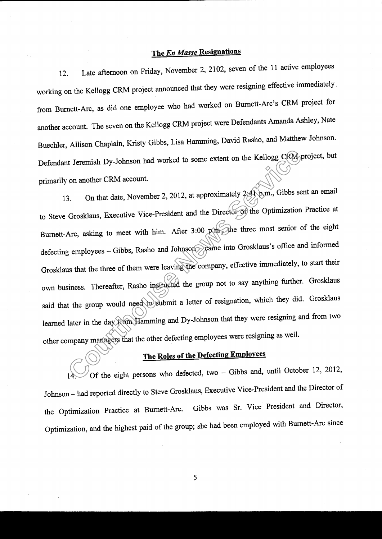## The En Masse Resignations

12. Late afternoon on Friday, November 2,2102, seven of the 11 active employees working on the Kellogg CRM project announced that they were resigning effective immediately from Burnett-Arc, as did one employee who had worked on Bumett-Arc's cRM project for another account. The seven on the Kellogg CRM project were Defendants Amanda Ashley, Nate Buechler, Allison Chaplain, Kristy Gibbs, Lisa Hamming, David Rasho, and Matthew Johnson. Defendant Jeremiah Dy-Johnson had worked to some extent on the Kellogg CRM project, but primarily on another CRM account.

13. On that date, November 2, 2012, at approximately  $2:41$  p.m., Gibbs sent an email to Steve Grosklaus, Executive Vice-President and the Director of the Optimization Practice at Burnett-Arc, asking to meet with him. After 3:00 p.m. the three most senior of the eight defecting employees - Gibbs, Rasho and Johnson - came into Grosklaus's office and informed Grosklaus that the three of them were leaving the company, effective immediately, to start their own business. Thereafter, Rasho instructed the group not to say anything further. Grosklaus said that the group would need to submit a letter of resignation, which they did. Grosklaus learned later in the day from Hamming and Dy-Johnson that they were resigning and from two other company managers that the other defecting employees were resigning as well. The Roles of the Defecting Employees.<br>
The Roles of the Elong CRM account.<br>
Con another CRM account.<br>
2. On that date, November 2, 2012, at approximately 2.41 p.m., Gibbs se<br>
Grosklaus, Executive Vice-President and the Dir

Of the eight persons who defected, two  $-$  Gibbs and, until October 12, 2012, Johnson - had reported directly to steve Grosklaus, Executive vice-President and the Director of the Optimization Practice at Burnett-Arc. Gibbs was Sr. Vice President and Director, Optimization, and the highest paid of the group; she had been employed with Burnett-Arc since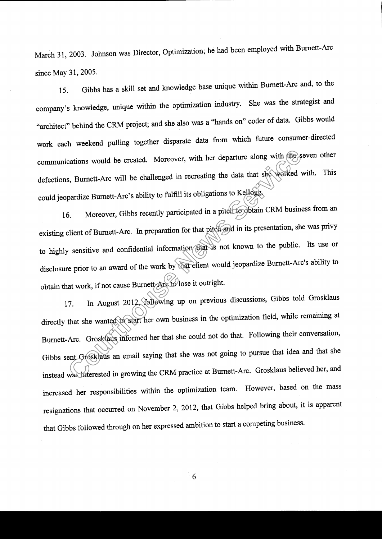March 31, 2003. Johnson was Director, Optimization; he had been employed with Burnett-Arc since May 31, 2005.

15. Gibbs has a skill set and knowledge base unique within Burnett-Arc and, to the company's knowledge, unique within the optimization industry. She was the strategist and "architect" behind the CRM project; and she also was a "hands on" coder of data. Gibbs would work each weekend pulling together disparate data from which future consumer-directed communications would be created. Moreover, with her departure along with the seven other defections, Burnett-Arc will be challenged in recreating the data that she worked with. This could jeopardize Burnett-Arc's ability to fulfill its obligations to Kellogg.

16. Moreover, Gibbs recently participated in a pitch to obtain CRM business from an existing client of Burnett-Arc. In preparation for that pitch and in its presentation, she was privy to highly sensitive and confidential information that is not known to the public. Its use or disclosure prior to an award of the work by that client would jeopardize Burnett-Arc's ability to obtain that work, if not cause Burnett.<br>Arctolose it outright.

17. In August 2012, following up on previous discussions, Gibbs told Grosklaus directly that she wanted to start her own business in the optimization field, while remaining at Burnett-Arc. Grosklaus informed her that she could not do that. Following their conversation, Gibbs sent Grosklaus an email saying that she was not going to pursue that idea and that she instead was interested in growing the CRM practice at Burnett-Arc. Grosklaus believed her, and increased her responsibilities within the optimization team' However, based on the mass resignations that occurred on November 2,2012, that Gibbs helped bring about, it is apparent that Gibbs followed through on her expressed ambition to start a competing business. cations would be created. Moreover, with her departure along with the space of the space of the challenged in recreating the data that she worked particle Burnett-Arc's ability to fulfill its obligations to Kellogge.<br>
6. M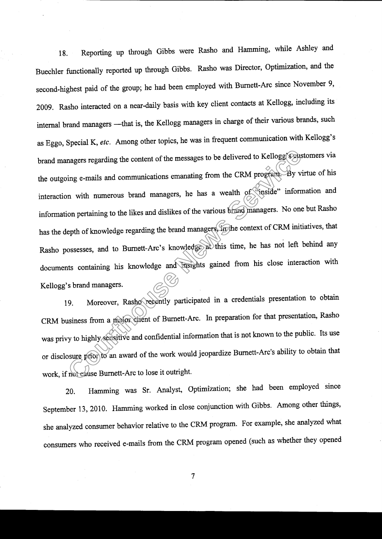18. Reporting up through Gibbs were Rasho and Hamming, while Ashley and Buechler functionally reported up through Gibbs. Rasho was Director, Optimization, and the second-highest paid of the group; he had been employed with Burnett-Arc since November 9, 2009. Rasho interacted on a near-daily basis with key client contacts at Kellogg, including its internal brand managers -- that is, the Kellogg managers in charge of their various brands, such as Eggo, Special K, etc. Among other topics, he was in frequent communication with Kellogg's brand managers regarding the content of the messages to be delivered to Kellogg's customers via the outgoing e-mails and communications emanating from the CRM program. By virtue of his interaction with numerous brand managers, he has a wealth of "inside" information and information pertaining to the likes and dislikes of the various brand managers. No one but Rasho has the depth of knowledge regarding the brand managers, in the context of CRM initiatives, that Rasho possesses, and to Burnett-Arc's knowledge at this time, he has not left behind any documents containing his knowledge and insights gained from his close interaction with Kellogg's brand managers. magers regarding the content of the messages to be delivered to Kellogg<sup>7</sup><sub>52</sub>013<br>
Sung e-mails and communications emanating from the CRM program By v<br>
The with numerous brand managers, he has a wealth of stasted informed<br>

19. Moreover, Rashorecently participated in a credentials presentation to obtain CRM business from a major client of Burnett-Arc. In preparation for that presentation, Rasho was privy to highly sensitive and confidential information that is not known to the public. Its use or disclosure prior to an award of the work would jeopardize Burnett-Arc's ability to obtain that work, if not eause Burnett-Arc to lose it outright.

20. Hamming was Sr. Analyst, optimization; she had been employed since September 13, 2010. Hamming worked in close conjunction with Gibbs. Among other things, she analyzed consumer behavior relative to the CRM program. For example, she analyzed what consumers who received e-mails from the CRM program opened (such as whether they opened

 $\overline{7}$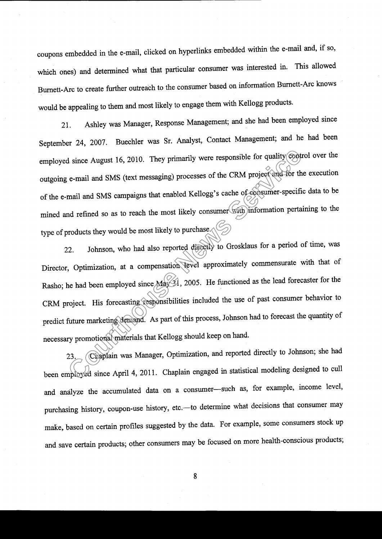coupons embedded in the e-mail, clicked on hyperlinks embedded within the e-mail and, if so, which ones) and determined what that particular consumer was interested in. This allowed Burnett-Arc to create further outreach to the consumer based on information Burnett-Arc knows would be appealing to them and most likely to engage them with Kellogg products.

21. Ashley was Manager, Response Management; and she had been employed since September 24, 2007. Buechler was Sr. Analyst, Contact Management; and he had been employed since August 16, 2010. They primarily were responsible for quality control over the outgoing e-mail and SMS (text messaging) processes of the cRM project and for the execution of the e-mail and sMS campaigns that enabled Kellogg's cache of consumer-specific data to be mined and refined so as to reach the most likely consumer with information pertaining to the type of products they would be most likely to purchase.

22. Johnson, who had also reported directly to Grosklaus for a period of time, was Director, Optimization, at a compensation level approximately commensurate with that of Rasho; he had been employed since  $\text{Max}$ , 2005. He functioned as the lead forecaster for the CRM project. His forecasting responsibilities included the use of past consumer behavior to predict future marketing demand. As part of this process, Johnson had to forecast the quantity of necessary promotional materials that Kellogg should keep on hand. d since August 16, 2010. They primarily were responsible for quality cont<br>
c-mail and SMS (text messaging) processes of the CRM project and for the<br>
mail and SMS campaigns that enabled Kellogg's cache of consumer-specified

23. Chaplain was Manager, Optimization, and reported directly to Johnson; she had been employed since April 4,2011. chaplain engaged in statistical modeling designed to cull and analyze the accumulated data on a consumer-such as, for example, income level, purchasing history, coupon-use history, etc.-- to determine what decisions that consumer may make, based on certain profiles suggested by the data. For example, some consumers stock up and save certain products; other consumers may be focused on more health-conscious products;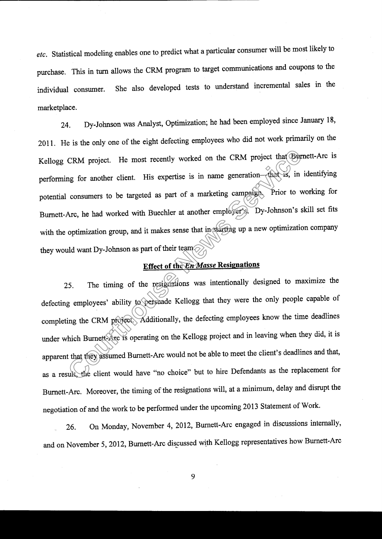etc. Statistical modeling enables one to predict what a particular consumer will be most likely to purchase. This in turn allows the cRM program to target communications and coupons to the individual consumer. She also developed tests to understand incremental sales in the marketplace.

24. Dy-Johnson was Analyst, Optimization; he had been employed since January 18, 2011. He is the only one of the eight defecting employees who did not work primarily on the Kellogg cRM project. He most recently worked on the cRM project that Burnett-Arc is performing for another client. His expertise is in name generation-that is, in identifying potential consumers to be targeted as part of a marketing campaign. Prior to working for Bumett-Arc, he had worked with Buechler at another employer's. Dy-Johnson's skill set fits with the optimization group, and it makes sense that in starting up a new optimization company they would want Dy-Johnson as part of their team' CRM project. He most recently worked on the CRM project that  $\bigoplus$ <br>mg for another client. His expertise is in name generation—charges, in<br>consumers to be targeted as part of a marketing campaign. Prior to v<br>Arc, he had w

## Effect of the En Masse Resignations

25. The timing of the resignations was intentionally designed to maximize the defecting employees' ability to persuade Kellogg that they were the only people capable of completing the CRM project. Additionally, the defecting employees know the time deadlines under which Burnett-Arc is operating on the Kellogg project and in leaving when they did, it is apparent that they assumed Bumett-Arc would not be able to meet the client's deadlines and that, as a result, the client would have "no choice" but to hire Defendants as the replacement for Burnett-Arc. Moreover, the timing of the resignations will, at a minimum, delay and disrupt the negotiation of and the work to be performed under the upcoming 2013 Statement of Work.

26. On Monday, November 4,2012, Burnett-Arc engaged in discussions intemally, and on November 5, 2012, Burnett-Arc discussed with Kellogg representatives how Burnett-Arc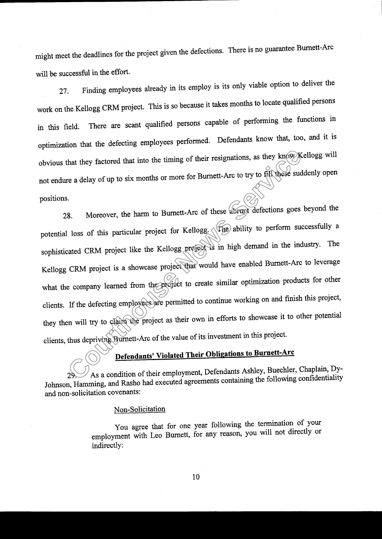might meet the deadlines for the project given the defections. There is no guarantee Bumett-Arc will be successful in the effort.

27. Finding employees already in its employ is its only viable option to deliver the work on the Keilogg cRM project. This is so because it takes months to locate qualified persons in this field. There are scant qualified persons capable of performing the functions in optimization that the defecting employees performed. Defendants know that, too, and it is obvious that they factored that into the timing of their resignations, as they know Kellogg will not endure a delay of up to six months or more for Bumett-Arc to try to filr these suddenly open positions.

28. Moreover, the harm to Bumett-Arc of these abrupt defections goes beyond the potential loss of this particular project for Kellogg. (The ability to perform successfully a sophisticated CRM project like the Kellogg project is in high demand in the industry. The Kellogg CRM project is a showcase project that would have enabled Burnett-Arc to leverage what the company learned from the project to create similar optimization products for other clients. If the defecting employees are permitted to continue working on and finish this project, they then will try to claim the project as their own in efforts to showcase it to other potential clients, thus depriving Burnett-Arc of the value of its investment in this project. that they factored that into the timing of their resignations, as they know the adelay of up to six months or more for Burnett-Arc to try to fill these such the service of this particular project for Kellogg. (The ability

As a condition of their employment, Defendants Ashley, Buechler, Chaplain, Dy-Johnson, Hamming, and Rasho had executed agreements containing the following confidentiality and non-solicitation covenants :

### Non-Solicitation

You agree that for one year following the termination of your employment with Leo Burnett, for any reason, you will not directly or indirectly: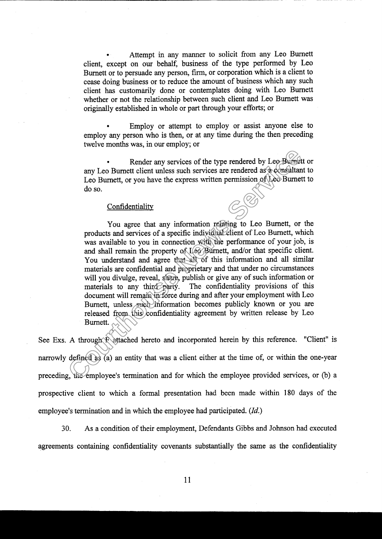. Attempt in any manner to solicit from any Leo Burnett client, except on our behalf, business of the type performed by Leo Burnett or to persuade any person, firm, or corporation which is a client to cease doing business or to reduce the amount of business which any such client has customdrily done or contemplates doing with Leo Bumett whether or not the relationship between such client and Leo Burnett was originally established in whole or part through your efforts; or

Employ or attempt to employ or assist anyone else to employ any person who is then, or at any time during the then preceding twelve months was, in our employ; or

Render any services of the type rendered by Leo Burnett or any Leo Burnett client unless such services are rendered as a consultant to Leo Burnett, or you have the express written permission of Leo Burnett to do so.

### **Confidentiality**

You agree that any information relating to Leo Bumett, or the products and services of a specific individual client of Leo Burnett, which was available to you in connection with the performance of your job, is and shall remain the property of Leo Burnett, and/or that specific client. You understand and agree that all of this information and all similar materials are confidential and proprietary and that under no circumstances will you divulge, reveal, share, publish or give any of such information or materials to any third party. The confidentiality provisions of this The confidentiality provisions of this document will remain in force during and after your employment with Leo Burnett, unless such information becomes publicly known or you are released from this confidentiality agreement by written release by Leo Burnett. France any services of the type rendered by Leo-Burnett<br>any Leo Burnett, or you have the express written permission of Leo Burnett, Leo Burnett, or you have the express written permission of Leo Burnett<br>do so.<br>Confidential

See Exs. A through F attached hereto and incorporated herein by this reference. "Client" is narrowly defined as (a) an entity that was a client either at the time of, or within the one-year preceding, the employee's termination and for which the employee provided services, or (b) a prospective client to which a formal presentation had been made within 180 days of the employee's termination and in which the employee had participated. (Id.)

30. As a condition of their employment, Defendants Gibbs and Johnson had executed agreements containing confidentiality covenants substantially the same as the confidentiality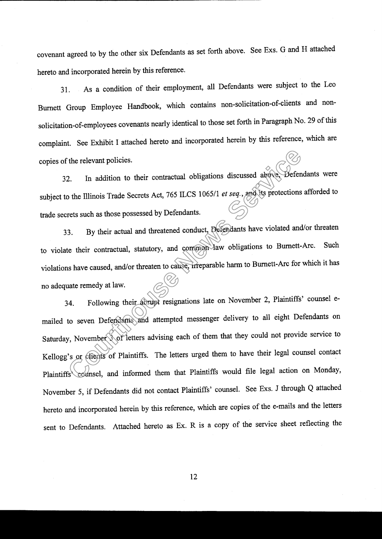covenant agreed to by the other six Defendants as set forth above. See Exs. G and H attached hereto and incorporated herein by this reference.

31. As a condition of their employment, all Defendants were subject to the Leo Burnett Group Employee Handbook, which contains non-solicitation-of-clients and nonsolicitation-of-employees covenants nearly identical to those set forth in Paragraph No. 29 of this complaint. See Exhibit I attached hereto and incorporated herein by this reference, which are copies of the relevant policies.

32. In addition to their contractual obligations discussed above, Defendants were subject to the Illinois Trade Secrets Act, 765 ILCS 1065/1 et seq., and its protections afforded to trade secrets such as those possessed by Defendants.

33. By their actual and threatened conduct, Defendants have violated and/or threaten to violate their contractual, statutory, and common law obligations to Burnett-Arc. Such violations have caused, and/or threaten to cause, irreparable harm to Burnett-Arc for which it has no adequate remedy at law.

34. Following their abrupt resignations late on November 2, Plaintiffs' counsel emailed to seven Defendants and attempted messenger delivery to all eight Defendants on Saturday, November 3 of letters advising each of them that they could not provide service to Kellogg's or clients of Plaintiffs. The letters urged them to have their legal counsel contact Plaintiffs counsel, and informed them that Plaintiffs would file legal action on Monday, November 5, if Defendants did not contact Plaintiffs' counsel. See Exs. J through Q attached hereto and incorporated herein by this reference, which are copies of the e-mails and the letters sent to Defendants. Attached hereto as Ex. R is a copy of the service sheet reflecting the The relevant policies.<br>
2. In addition to their contractual obligations discussed above. Defense to the Illinois Trade Secrets Act, 765 ILCS 1065/1 *et seq.*, and the protections rets such as those possessed by Defendants.

t2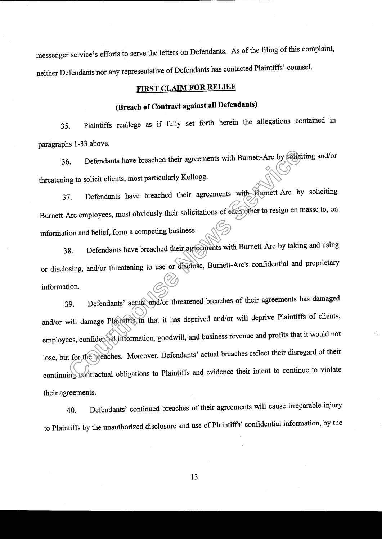messenger service's efforts to serve the letters on Defendants. As of the filing of this complaint, neither Defendants nor any representative of Defendants has contacted Plaintiffs' counsel'

## **FIRST CLAIM FOR RELIEF**

## (Breach of Contract against all Defendants)

35. Plaintiffs reallege as if fully set forth herein the allegations contained in paragraphs 1-33 above.

36. Defendants have breached their agreements with Burnett-Arc by soliciting and/or threatening to solicit clients, most particularly Kellogg'

37. Defendants have breached their agreements with Burnett-Arc by soliciting Burnett-Arc employees, most obviously their solicitations of each other to resign en masse to, on information and belief, form a competing business.

38. Defendants have breached their agreements with Burnett-Arc by taking and using or disclosing, and/or threatening to use or disclose, Burnett-Arc's confidential and proprietary information.

39. Defendants' actual and/or threatened breaches of their agreements has damaged and/or will damage Plaintiffs in that it has deprived and/or will deprive Plaintiffs of clients, employees, confidential information, goodwill, and business revenue and profits that it would not lose, but for the breaches. Moreover, Defendants' actual breaches reflect their disregard of their continuing contractual obligations to plaintiffs and evidence their intent to continue to violate their agreements. 6. Defendants have breached their agreements with Burnett-Arc by 660<br>for the solution of the service of the service of the service of the service of the service of the service of<br>Arc employees, most obviously their solicit

40. Defendants' continued breaches of their agreements will cause irreparable injury to plaintiffs by the unauthorized disclosure and use of Plaintiffs' confidential information, by the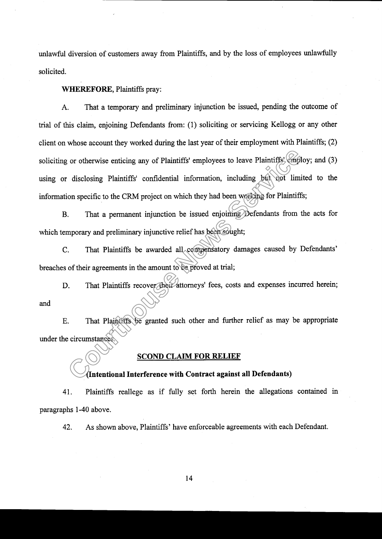unlawful diversion of customers away from Plaintiffs, and by the loss of employees unlawfully solicited.

WHEREFORE, Plaintiffs pray:

A. That a temporary and preliminary injunction be issued, pending the outcome of fial of this claim, enjoining Defendants from: (1) soliciting or servicing Kellogg or any other client on whose account they worked during the last year of their employment with Plaintiffs; (2) soliciting or otherwise enticing any of Plaintiffs' employees to leave Plaintiffs' employ; and (3) using or disclosing Plaintiffs' confidential information, including but not limited to the information specific to the CRM project on which they had been working for Plaintiffs; compared to the control of the control of the control of the control of the control of the control of the CRM project on which they had been weeking for Plaintiff (control of the CRM project on which they had been weeking

B. That a permanent injunction be issued enjoining Defendants from the acts for which temporary and preliminary injunctive relief has been sought;

C. That Plaintiffs be awarded all compensatory damages caused by Defendants' breaches of their agreements in the amount to be proved at trial;

D. That Plaintiffs recover their attorneys' fees, costs and expenses incurred herein; and

E. That Plaintiffs be granted such other and further relief as may be appropriate under the circumstances.

## SCOND CLAIM FOR RELIEF

## (Intentional Interference with Contract against all Defendants)

41. Plaintiffs reallege as if fully set forth herein the allegations contained in paragraphs 1-40 above.

42. As shown above, Plaintiffs' have enforceable agreements with each Defendant.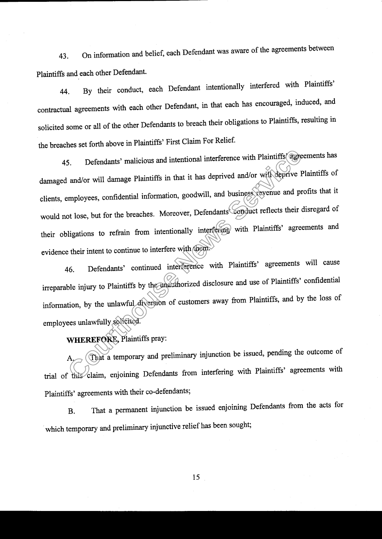43. on information and belief, each Defendant was aware of the agreements between Plaintiffs and each other Defendant.

44. By their conduct, each Defendant intentionally interfered with Plaintiffs' contractual agreements with each other Defendant, in that each has encouraged, induced, and solicited some or ail of the other Defendants to breach their obligations to Plaintiffs, resulting in the breaches set forth above in Plaintiffs' First Claim For Relief.

45. Defendants' malicious and intentional interference with Plaintiffs agreements has damaged and/or will damage Plaintiffs in that it has deprived and/or will deprive Plaintiffs of clients, employees, confidential information, goodwill, and business revenue and profits that it would not lose, but for the breaches. Moreover, Defendants<sup>&</sup> conduct reflects their disregard of their obligations to refrain from intentionally interfering with plaintiffs' agreements and evidence their intent to continue to interfere with them. 5. Defendants' malicious and intentional interference with Plaintiff's age<br>
lead/or will damage Plaintiffs in that it has deprived and/or will deprive<br>
employees, confidential information, goodwill, and business revenue an

46. Defendants' continued interference with Plaintiffs' agreements will cause irreparable injury to Plaintiffs by the anauthorized disclosure and use of Plaintiffs' confidential information, by the unlawful diversion of customers away from Plaintiffs, and by the loss of employees unlawfully solicited.

## WHEREFORE, Plaintiffs pray:

That a temporary and preliminary injunction be issued, pending the outcome of trial of this claim, enjoining Defendants from interfering with plaintiffs' agreements with Plaintiffs' agreements with their co-defendants;

B. That a permanent injunction be issued enjoining Defendants from the acts for which temporary and preliminary injunctive relief has been sought;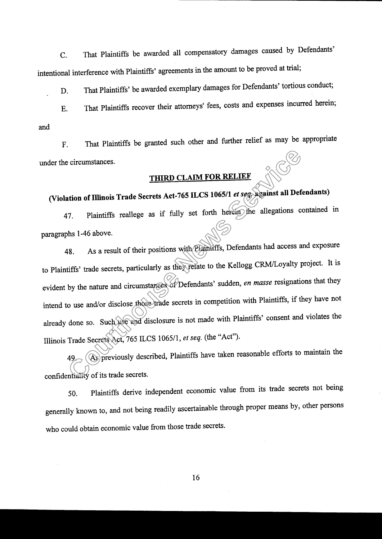C. That plaintiffs be awarded all compensatory damages caused by Defendants' intentional interference with plaintiffs' agreements in the amount to be proved at trial;

D. That Plaintiffs' be awarded exemplary damages for Defendants' tortious conduct;

E. That plaintiffs recover their attorneys' fees, costs and expenses incurred herein; and

F. That Plaintiffs be granted such other and further relief as may be appropriate under the circumstances.

# (Violation of Illinois Trade Secrets Act-765 ILCS 1065/1 et seq. against all Defendants)

47. Plaintiffs reallege as if fully set forth herein the allegations contained in paragraphs 1-46 above.

48. As a result of their positions with Plaintiffs, Defendants had access and exposure to Plaintiffs' trade secrets, particularly as they relate to the Kellogg CRM/Loyalty project. It is evident by the nature and circumstances of Defendants' sudden, en masse resignations that they intend to use and/or disclose those fiade secrets in competition with Plaintiffs, if they have not already done so. Such use and disclosure is not made with Plaintiffs' consent and violates the Illinois Trade Secrets Act, 765 ILCS 1065/1, et seq. (the "Act"). circumstances.<br>
THIRD CLAIM FOR RELIEF<br>
ation of Illinois Trade Secrets Act-765 LCS 1065/1 *et seq*.<br>
Against all Def<br>
17. Plaintiffs reallege as if fully set forth herein the allegations combined<br>
18. As a result of their

49. As previously described, Plaintiffs have taken reasonable efforts to maintain the confidentiality of its trade secrets.

50. Plaintiffs derive independent economic value from its trade secrets not being generally known to, and not being readily ascertainable through proper means by, other persons who could obtain economic value from those trade secrets.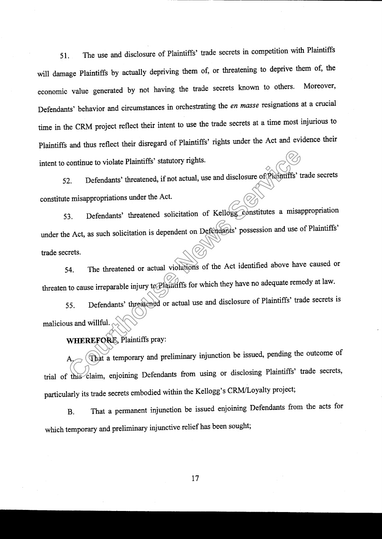51. The use and disclosure of Plaintiffs' trade secrets in competition with Plaintiffs will damage Plaintiffs by actually depriving them of, or threatening to deprive them of, the economic value generated by not having the trade secrets known to others. Moreover, Defendants' behavior and circumstances in orchestrating the en masse resignations at a crucial time in the cRM project reflect their intent to use the fiade secrets at a time most injurious to plaintiffs and thus reflect their disregard of plaintiffs' rights under the Act and evidence their intent to continue to violate Plaintiffs' statutory rights.

52. Defendants' threatened, if not actual, use and disclosure of Plaintiffs' trade secrets constitute misappropriations under the Act.

53. Defendants' threatened solicitation of Kellogg constitutes a misappropriation under the Act, as such solicitation is dependent on Defendants' possession and use of Plaintiffs' trade secrets. continue to violate Plaintiffs' statutory rights.<br>
2. Defendants' threatened, if not actual, use and disclosure of Plaintiffs' t<br>
e misappropriations under the Act.<br>
3. Defendants' threatened solicitation of Kellogg Consti

54. The threatened or actual violations of the Act identified above have caused or threaten to cause irreparable injury to Plaintiffs for which they have no adequate remedy at law.

55. Defendants' threatened or actual use and disclosure of Plaintiffs' trade secrets is malicious and willful.

WHEREFORE, Plaintiffs pray:

That a temporary and preliminary injunction be issued, pending the outcome of trial of this claim, enjoining Defendants from using or disclosing Plaintiffs' trade secrets, particularly its trade secrets embodied within the Kellogg's CRM/Loyalty project;

B. That a permanent injunction be issued enjoining Defendants from the acts for which temporary and preliminary injunctive relief has been sought;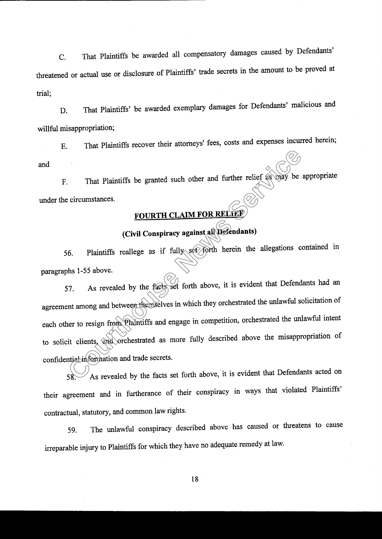c. That Plaintiffs be awarded all compensatory damages caused by Defendants' threatened or actual use or disclosure of plaintiffs' tade secrets in the amount to be proved at trial;

D. That Plaintiffs' be awarded exemplary damages for Defendants' malicious and willful misappropriation;

E. That plaintiffs recover their attorneys' fees, costs and expenses incurred herein; and

F. That Plaintiffs be granted such other and further relief as may be appropriate under the circumstances.

## (Civil Conspiracy against all Defendants)

56. Plaintiffs reallege as if fully set forth herein the allegations contained in paragraphs 1-55 above.

57. As revealed by the facts set forth above, it is evident that Defendants had an agreement among and between themselves in which they orchestrated the unlawful solicitation of each other to resign from Plaintiffs and engage in competition, orchestrated the unlawful intent to solicit clients, and orchestrated as more fully described above the misappropriation of confidential information and trade secrets. That Plaintiffs be granted such other and further relief as way be<br>
circumstances.<br> **Courth CLAIM FOR RELEES**<br>
(Civil Conspiracy against all Defendants)<br>
(Civil Conspiracy against all Defendants)<br>
(6. Plaintiffs reallege a

58. As revealed by the facts set forth above, it is evident that Defendants acted on their agreement and in furtherance of their conspiracy in ways that violated Plaintiffs' contractual, statutory, and common law rights.

59. The unlawful conspiracy described above has caused or threatens to cause irreparable injury to Plaintiffs for which they have no adequate remedy at law'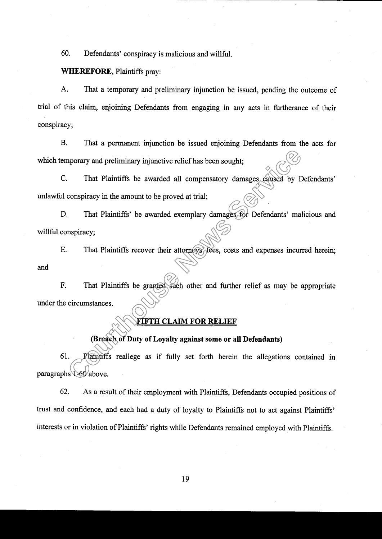60. Defendants' conspiracy is malicious and willful.

## WHEREFORE, Plaintiffs pray:

A. That a temporary and preliminary injunction be issued, pending the outcome of trial of this claim, enjoining Defendants from engaging in any acts in furtherance of their conspiracy;

B. That a permanent injunction be issued enjoining Defendants from the acts for which temporary and preliminary injunctive relief has been sought;

C. That Plaintiffs be awarded all compensatory damages caused by Defendants' unlawful conspiracy in the amount to be proved at trial;

D. That Plaintiffs' be awarded exemplary damages for Defendants' malicious and willful conspiracy;

E. That Plaintiffs recover their attorneys' fees, costs and expenses incurred herein; and

F. That Plaintiffs be granted such other and further relief as may be appropriate under the circumstances.

## FIF'TH CLAIM FOR RELIEF

## (Breach of Duty of Loyalty against some or all Defendants)

61. Plaintiffs reallege as if fully set forth herein the allegations contained in paragraphs 1-60 above. mporary and preliminary injunctive relief has been sought;<br>
That Plaintiffs be awarded all compensatory damages caused by L<br>
conspiracy in the amount to be proved at trial;<br>
That Plaintiffs' be awarded exemplary damages of

62. As a result of their employment with Plaintiffs, Defendants occupied positions of trust and confidence, and each had a duty of loyalty to Plaintiffs not to act against Plaintiffs' interests or in violation of Plaintiffs' rights while Defendants remained employed with Plaintiffs.